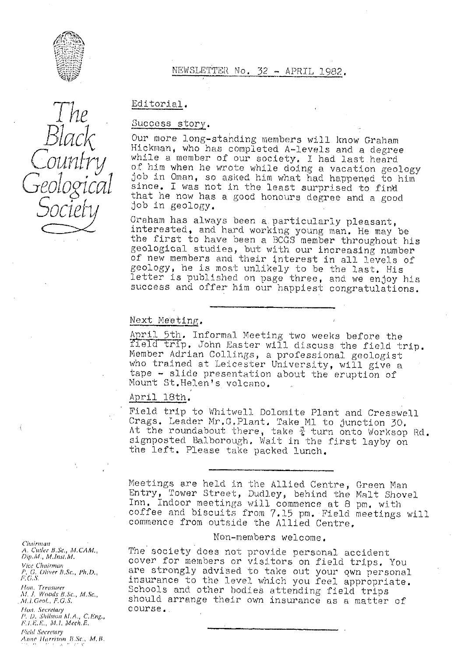

 $\ln e$ 

°

**1**

Counti

# NEWSLETTER No. 32 - APRIL *1982.*

Editorial

# Success story.

Our more long-standing members will know Graham Hickman, who has completed A•-levels and a degree while a member of our society. I had last heard of him when he wrote while doing a vacation geology<br>job in Oman, so asked him what had happened to him since. I was not in the least surprised to find that he now has a good honours degree and a good job in geology,

Graham has always been a particularly pleasant, interested, and hard working young man. He may be the first to have been a BOGS member throughout his geological studies, but with our increasing number of new members and their Interest in all levels of geology, he is most unlikely to be the last. His letter is published on page three, and we enjoy his success and offer him our happiest congratulations.

### Next Meeting,

April 5th. Informal Meeting two weeks before the field trip. John Easter will discuss the field trip. Member Adrian Collings, a professional geologist who trained at Leicester University, will give a tape - slide presentation about the eruption of Mount St,Helen's volcano,

# April 18th.

Field trip to Whitwell Dolomite Plant and Cresswell Crags. Leader Mr.G.Plant. Take M1 to junction 30. At the roundabout there, take  $\frac{3}{4}$  turn onto Worksop Rd. signposted Balborough, Wait in the first layby on the left. Please take packed lunch.

Meetings are held in the Allied Centre, Green Man Entry, Tower Street, Dudley, behind the Malt Shovel Inn. Indoor meetings will commence at 8 pm, with coffee and biscuits from 7.15 pm. Field meetings will commence from outside the Allied Centre,

Non-members welcome.

The society does not provide personal accident cover for members or visitors on field trips. You are strongly advised to take out your own personal insurance to the level which you feel appropriate. Hon. Treasurer<br>M.J. Woods B.Sc., M.Sc., Schools and other bodies attending field trips<br>M.L.Geol., F.G.S. Should arrange their own insurance as a matter should arrange their own insurance as a matter of

Chairman<br>A. Cuder B.Sc., M.CAM.,<br>Dip.M., M.Inst.M. **Vice Chairman** e Chairman<br>G, Oliver B.Sc., Ph.D *Hon. Secretary* **course.**. P. D. Shilston M.A., C.Eng.,  $F.I.E.L., M.I. Mech.E.$ 

**Field Secretary** *Anne Harrison B.Sc., M.B.*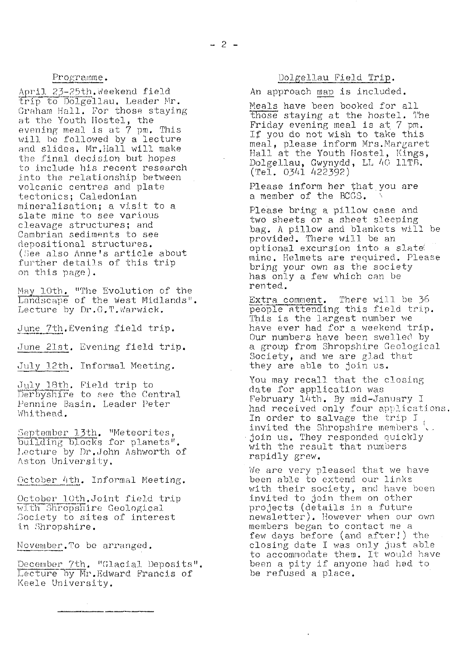### Programme.

April 23-25th. Weekend field trip to Dolgellau. Leader Mr. Graham Hall. Por those staying at the Youth Hostel, the evening meal is at  $\tilde{7}$  pm. This will be followed by a lecture and slides. Mr.Hall will make the final decision but hopes to include his recent research into the relationship between volcanic centres and plate tectonics; Caledonian mineralisation; a visit to a slate mine to see various cleavage structures; and Cambrian sediments to see depositional structures. (See also Anne's article about further details of this trip on this page). The Control of this trip<br>
further details of this trip<br>
on this page).<br>
May 10th. "The Evolution of the Landscape of the West Midlands".

Lecture by  $Dr.G.T.\n$ Warwick.

June 7th. Evening field trip.

June 21st. Evening field trip.

July 12th. Informal Meeting.

July 18th. Field trip to Derbyshire to see the Central Pennine Basin. Leader Peter Whithead.

September 13th. "Meteorites, building blocks for planets". Lecture by Dr.John Ashworth of Aston University.

October 4th, Informal Meeting.

October 10th.Joint field trip with Shropshire Geological Society to sites of interest in Shropshire.

November. To be arranged.

December 7th. "Glacial Deposits". Lecture by Mr.Edward Francis of Keele University.

# Dolgellau Field Trip.

An approach map is included.

Meals have been booked for all Those staying at the hostel. The Friday evening meal is at 7 pm. If you do not wish to take this meal, please inform Mrs.Mar $g$ aret Hall at the Youth Hostel, Kings, Dolgellau, Gwynydd, LL 40 11TB (Tel. 0341 422392)

Please inform her that you are<br>a member of the BCGS.

Please bring a pillow case and two sheets or a sheet sleeping bag. A pillow and blankets will be provided. There will be an optional excursion into a slate( mine. Helmets are required. Please bring your own as the society has only e. few which can be rented.

Extra comment. There will be 36 people attending this field trip. This is the largest number we have ever had for a weekend trip. Our numbers have been swelled by a group from Shropshire Geological Society, and we are glad that they are able to join us.

You may recall that the closing date for application was February 14th. By mid-January I had received only four applications. In order to salvage the trip I invited the Shropshire members but join us. They responded quickly with the result that numbers rapidly grew.

We are very pleased that we have been able to extend our links with their society, and have been invited. to join them on other projects (details in a future newsletter). However when our own members began to contact me a few days before (and after!) the closing date I was only just able to accommodate them. It would have been a pity if anyone had had to be refused a place.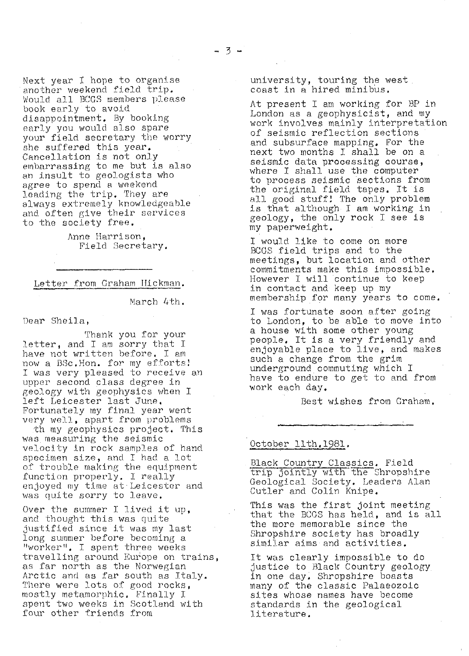Next year I hope to organise another weekend field trip. Would all BCGS members please book early to avoid disappointment. By booking early you would also spare your field secretary the worry she suffered this year. Cancellation is not only embarrassing to me but is also an insult to geologists who agree to spend a weekend leading the trip. They are always extremely knowledgeable and often give their services to the society free.

> Anne Harrison, Field Secretary.

Letter from Graham Hickman.

March 4th.

Dear Sheila,

Thank you for your letter, and I am sorry that I have not written before. I am now a BSc. Hon. for my efforts! I was very pleased to receive an upper second class degree in geology with geophysics when I left Leicester last June. Fortunately my final year went very well, apart from problems

th my geophysics project. This was measuring the seismic velocity in rock samples of hand specimen size, and I had a lot of trouble making the equipment function properly. I really enjoyed my time at Leicester and was quite sorry to leave.

Over the summer I lived it up, and thought this was quite justified since it was my last long summer before becoming a "wor ker". I spent three weeks travelling around Europe on trains, as far north as the Norwegian Arctic and as far south as Italy. There were lots of good rocks, mostly metamorphic. Finally I spent two weeks in Scotland with four other friends from

university, touring the west. coast in a hired minibus.

At present I am working for BP in London as a geophysicist, and my work involves mainly interpretation of seismic reflection sections and subsurface mapping. For the next two months I shall be on a seismic data processing course, where I shall use the computer to process seismic sections from the original field tapes. It is all good stuff! The only problem is that although I am working in geology, the only rock I see is my paperweight.

I would like to come on more BCGS field trips and to the meetings, but location and other commitments make this impossible, However I will continue to keep in contact and keep up my membership for many years to come.

I was fortunate soon after going to London, to be able to move into a house with some other young people. It is a very friendly and enjoyable place to live, and makes such a change from the grim underground commuting which I have to endure to get to and from work each day.

Best wishes from Graham.

### October llth.19BI.

Black Country Classics. Field October 11th.1981<br>Black Country Cla<br>Trip jointly with<br>Geological Societ<br>Cutler and Colin the Shropshire Geological Society. Leaders Alan Cutler and Colin Knipe.

This was the first joint meeting that the BCGS has held, and is all the more memorable since the Shropshire society has broadly similar aims and activities.

It was clearly impossible to do justice to Black Country geology in one day. Shropshire boasts many of the classic Palaeozoic sites whose names have become standards in the geological literature.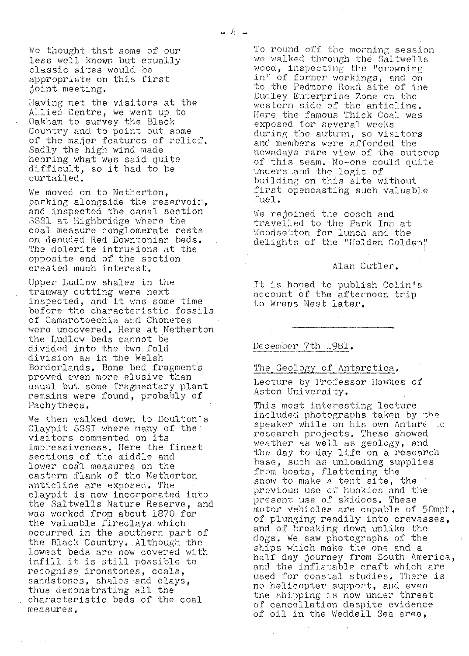*We thought that some of our less well known but equally classic sites would be appropriate on this* first joint meeting.

Having met the visitors at the Allied Centre, we went up to Oakham to survey the Black Country and to point out some of the major features of relief. Sadly the high wind made hearing what was said quite difficult, so it had to be curtailed.

We moved on to Netherton, parking alongside the *reservoir,* and inspected, the canal section SSS1 at Highbridge where the coal measure conglomerate rests on denuded Red Downtonian beds. The dolerite intrusions at the opposite end of the section created much interest.

Upper Ludlow shales in the tramway cutting were next inspected, and it was some time before the characteristic fossils of Camarotoechia and Chonetes were uncovered. Here at Netherton the Ludlow beds cannot be divided into the two fold division as in the Welsh Borderlands. Bone bed fragments proved even more elusive than usual but some fragmentary plant remains were found., probably of Pachytheca.

We then walked down to Doulton's Claypit 8551 where many of the visitors commented on its impressiveness. Here the finest sections of the middle and lower coal measures on the eastern flank of the Netherton anticline are exposed. The claypit is now incorporated into the Saltwells Nature Reserve, and was worked from about 1870 for the valuable fireclays which occurred in the southern part of the Black Country.. Although the lowest beds are now covered with infill it is still possible to recognise ironstones, coals, sandstones, shales and clays, thus demonstrating all the characteristic beds of the coal. measures.

To round off the morning session we walked through the Saltwells wood, inspecting; the "crowning in" of former workings, and on to the Pedmore Road site of the Dudley Enterprise Zone on the western side of the anticline. Here the famous Thick Coal was exposed. for several weeks during the autumn, so visitors and members were afforded the nowadays rare view of the outcrop of this seam. No-one could quite understand the logic of building on this site without first opencasting such valuable fuel.

We rejoined the coach and *travelled to the Park Inn at* Woodsetton for lunch and the delights of the "Holden Golden"

### *Alan Cutler.*

It is hoped to publish Colin's account of the afternoon trip to Wrens Nest later.

## December 7th 1981.

#### The Geology of Antarctica.

Lecture by Professor Hewkes of Aston University.

This most interesting lecture included photographs taken by the speaker while on his own Antaré .c research projects. These showed weather as well as geology, and the day to day life on a research base, such as unloading supplies from boats, flattening the snow to make a tent site, the<br>previous use of huskies and the present use of skidoos. These motor vehicles are capable of 50mph. of plunging readily into crevasses and of breaking down unlike the dogs, We saw photographs of the ships which make the one and a half day journey from South America, *and the* inflatable craft which are *used for coastal studies. There is no helicopter support, and even the shipping is now under threat of cancellation despite evidence of oil in the Weddell Sea area,*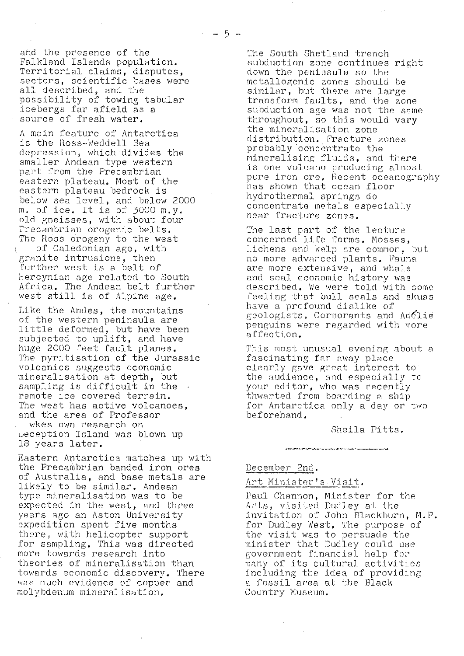and the presence of the Falkland Islands population. Territorial claims, disputes, sectors, scientific bases were all described, and the possibility of towing tabular icebergs far afield as a source of fresh water.

A mein feature of Antarctica is the Ross-Weddell Sea depression, which divides the smaller Andean type western part from the Precambrian eastern plateau. Most of the eastern plateau bedrock is below sea level, and below 2000 m. of ice. It is of 3000 m.y. old gneisses, with about four recambrian orogenic belts. The Ross orogeny to the west of Caledonian age, with granite intrusions, then further west is a belt of Hercynian age related to South Africa, The Andean belt further west still is of Alpine age.

Like the Andes, the mountains of the western peninsula are little deformed, but have been subjected to uplift, and have huge 2000 feet fault planes. The pyritisation of the Jurassic volcanics suggests economic mineralisation at depth, but sampling is difficult in the remote ice covered terrain. The west has active volcanoes, and the area of Professor wkes own research on beception Island was blown up 18 years later.

Eastern Antarctica matches up with the Precambrian banded iron ores of Australia, and. base metals are likely to be similar. Andean type mineralisation was to be expected in the west, and three years ago an Aston University expedition spent five months there, with helicopter support for sampling, This was directed more towards research into theories of mineralisation than towards economic discovery. There was much evidence of copper and molybdenum mineralisation.

The South Shetland trench subduction zone continues right down the peninsula so the metallogenic zones should be similar, but there are large transform faults, and the zone subduction age was not the same throughout, so this would vary the mineralisation zone distribution. Fracture zones probably concentrate the mineralising fluids, and there is one volcano producing almost pure iron ore. Recent oceanography p as shown that ocean floor hydrothermal springs do concentrate metals especially near fracture zones.

The last part of the lecture concerned life forms. Mosses, lichens and kelp are common, but no more advanced plants. Fauna are more extensive, and whale and seal economic history was described. We were told with some feeling that bull seals and skuas have a profound dislike of geologists. Cormorants and Adelie penguins were regarded with more affection.

This most unusual evening about a fascinating far away place clean y gave great interest to the audience, and especially to your editor, who was recently thwarted from hoarding a ship for Antarctica only a day or two beforehand.

Sheila Pitts,

#### December 2nd..

# Art Minister "s Visit,

Paul Channon, Minister for the Arts, visited Dudley at the invitation of John Blackburn, M.P. for Dudley West, The purpose of the visit was to persuade the minister that Dudley could use government financial help for many of its cultural activities including the idea of providing a fossil area at the Black Country Museum,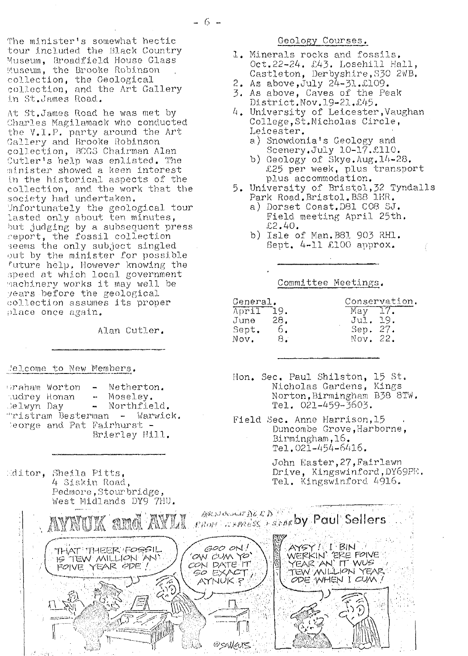The minister's somewhat hectic tour included the Black Country Museum, Broadfield House Class Museum, the Brooke Robinson collection, the Geological collection, and the Art Gallery in St.James Road.

At St. James Road he was met by Charles Magilamack who conducted the V.I.P. party around the Art Callery and Brooke Robinson collection, BCGS Chairman Alan Cutler's help was enlisted. The minister showed a keen interest in the historical aspects of the collection, and the work that the society had undertaken. Unfortunately the geological tour lasted only about ten minutes, but judging by a subsequent press<br>report, the fossil collection seems the only subject singled out by the minister for possible future help. However knowing the speed at which local government machinery works it may well be years before the geological collection assumes its proper place once again.

Alan Cutler.

# Jelcome to New Members.

Editor, Sheila Pitts,

|              | araham Worton              |            | - Netherton.                  |
|--------------|----------------------------|------------|-------------------------------|
| audrey Ronan |                            | - Moseley. |                               |
| Selwyn Day   |                            |            | - Northfield.                 |
|              |                            |            | "ristram Besterman - Warwick. |
|              | Deorge and Pat Fairhurst - |            |                               |
|              |                            |            | Brierley Hill.                |

4 Siskin Road,

- Geology Courses.
- 1. Minerals rocks and fossils. Oct.22-24. £43. Losehill Hall, Castleton, Derbyshire, S30 2WB.
- 2. As above,  $July 24-31$ .  $L109$ .
- 3. As above, Caves of the Peak District. Nov. 19-21. £45.
- 4. University of Leicester, Vaughan College, St. Nicholas Circle, Leicester.
	- a) Snowdonia's Geology and Scenery. July 10-17. £110.
	- b) Geology of Skye.  $Aug.14-28.$ £25 per week, plus transport plus accommodation.
- 5. University of Bristol, 32 Tyndalls Park Road, Bristol. BS8 1KR.
	- a) Dorset Coast. D81 CO8 SJ. Field meeting April 25th.  $£2.40.$
	- b) Isle of Man. B81 903 RH1. Sept.  $4-11$  £100 approx.

Committee Meetings.

| General.  |     | Conservation.               |  |  |
|-----------|-----|-----------------------------|--|--|
| April 19. |     | $\overline{\text{Mav}}$ 17. |  |  |
| June 28.  |     | Jul. 19.                    |  |  |
| Sept.     | 6.  | Sep. 27.                    |  |  |
| Nov.      | 8.1 | Nov. 22.                    |  |  |

Hon. Sec. Paul Shilston, 15 St. Nicholas Gardens, Kings Norton, Birmingham B38 8TW. Tel. 021-459-3603.

Field Sec. Anne Harrison, 15 Duncombe Grove, Harborne,  $Birmingham, 16.$  $Te1.02\overline{1} - 45\overline{4} - 6416.$ 

> John Easter, 27, Fairlawn Drive, Kingswinford, DY69PE. Tel. Kingswinford 4916.

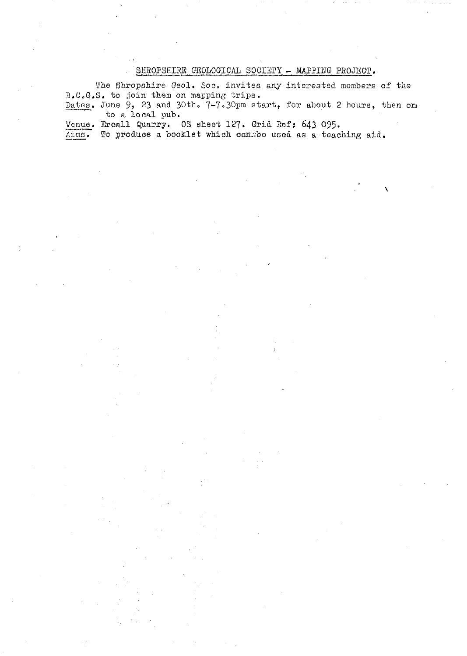# SHROPSHIRE GEOLOGICAL SOCIETY - MAPPING PROJECT.

The Shropshire Geol. Soc. invites any interested members of the .B.C.G.S. to join, them on mapping trips.

Dates. June  $9$ , 23 and 30th.  $7-7.30$ pm start, for about 2 hours, then on to a local pub.

Venue. Ercall Quarry. OS sheet 127. Grid Ref: 643 095.<br>Aims. To produce a booklet which cansbe used as a teac

To produce a booklet which canzbe used as a teaching aid.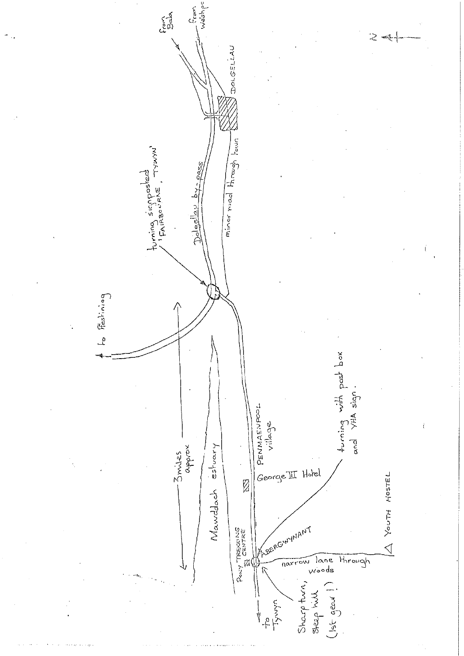